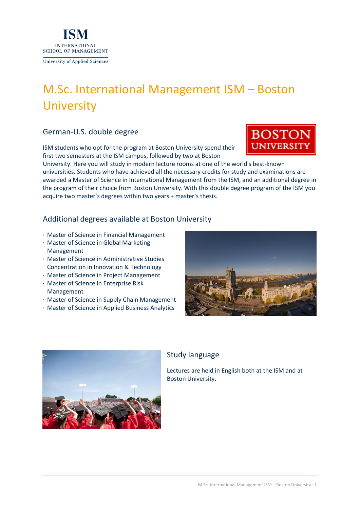



# Study language

Lectures are held in English both at the ISM and at Boston University.



· Master of Science in Global Marketing Management

German-U.S. double degree

**INTERNATIONAL SCHOOL OF MANAGEMENT** 

- · Master of Science in Administrative Studies
- 
- 
- · Master of Science in Enterprise Risk Management
- 
- 
- · Master of Science in Supply Chain Management
- · Master of Science in Project Management
- 
- 
- 
- 
- 
- 
- 
- 
- 
- 
- Concentration in Innovation & Technology
- 
- 
- 
- 





**University of Applied Sciences** 

ISM students who opt for the program at Boston University spend their first two semesters at the ISM campus, followed by two at Boston

acquire two master's degrees within two years + master's thesis.

Additional degrees available at Boston University

# M.Sc. International Management ISM – Boston **University**

University. Here you will study in modern lecture rooms at one of the world's best-known

universities. Students who have achieved all the necessary credits for study and examinations are awarded a Master of Science in International Management from the ISM, and an additional degree in the program of their choice from Boston University. With this double degree program of the ISM you